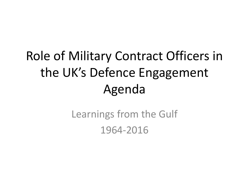### Role of Military Contract Officers in the UK's Defence Engagement Agenda

Learnings from the Gulf 1964-2016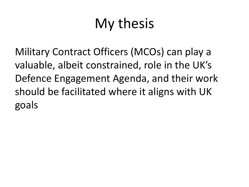# My thesis

Military Contract Officers (MCOs) can play a valuable, albeit constrained, role in the UK's Defence Engagement Agenda, and their work should be facilitated where it aligns with UK goals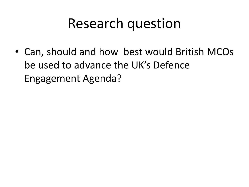### Research question

• Can, should and how best would British MCOs be used to advance the UK's Defence Engagement Agenda?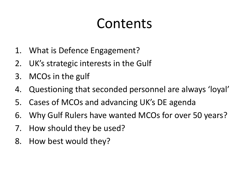### Contents

- 1. What is Defence Engagement?
- 2. UK's strategic interests in the Gulf
- 3. MCOs in the gulf
- 4. Questioning that seconded personnel are always 'loyal'
- 5. Cases of MCOs and advancing UK's DE agenda
- 6. Why Gulf Rulers have wanted MCOs for over 50 years?
- 7. How should they be used?
- 8. How best would they?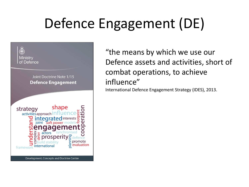# Defence Engagement (DE)



"the means by which we use our Defence assets and activities, short of combat operations, to achieve influence"

International Defence Engagement Strategy (IDES), 2013.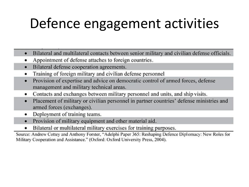# Defence engagement activities

- Bilateral and multilateral contacts between senior military and civilian defense officials.  $\bullet$
- Appointment of defense attaches to foreign countries.
- Bilateral defense cooperation agreements.  $\bullet$
- Training of foreign military and civilian defense personnel ٠
- Provision of expertise and advice on democratic control of armed forces, defense  $\bullet$ management and military technical areas.
- Contacts and exchanges between military personnel and units, and ship visits.  $\bullet$
- Placement of military or civilian personnel in partner countries' defense ministries and  $\bullet$ armed forces (exchanges).
- Deployment of training teams. ٠
- Provision of military equipment and other material aid.  $\bullet$
- Bilateral or multilateral military exercises for training purposes.

Source: Andrew Cottey and Anthony Forster, "Adelphi Paper 365: Reshaping Defence Diplomacy: New Roles for Military Cooperation and Assistance." (Oxford: Oxford University Press, 2004).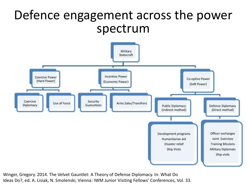### Defence engagement across the power spectrum



Winger, Gregory. 2014. The Velvet Gauntlet: A Theory of Defense Diplomacy. In: What Do Ideas Do?, ed. A. Lisiak, N. Smolenski, Vienna: IWM Junior Visiting Fellows' Conferences, Vol. 33.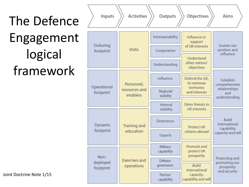# The Defence Engagement logical framework



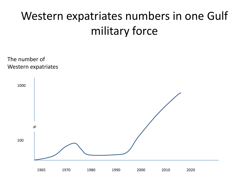### Western expatriates numbers in one Gulf military force

The number of Western expatriates

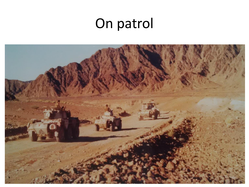### On patrol

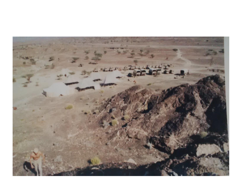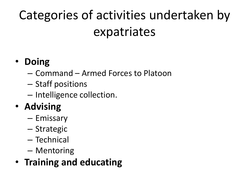# Categories of activities undertaken by expatriates

#### • **Doing**

- Command Armed Forces to Platoon
- Staff positions
- Intelligence collection.

#### • **Advising**

- Emissary
- Strategic
- Technical
- Mentoring

#### • **Training and educating**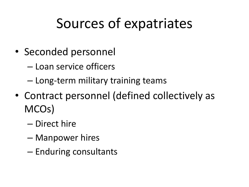### Sources of expatriates

- Seconded personnel
	- Loan service officers
	- Long-term military training teams
- Contract personnel (defined collectively as MCOs)
	- Direct hire
	- Manpower hires
	- Enduring consultants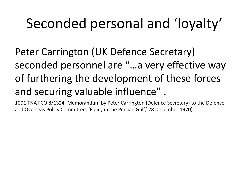# Seconded personal and 'loyalty'

Peter Carrington (UK Defence Secretary) seconded personnel are "…a very effective way of furthering the development of these forces and securing valuable influence".

1001 TNA FCO 8/1324, Memorandum by Peter Carrington (Defence Secretary) to the Defence and Overseas Policy Committee, 'Policy in the Persian Gulf,' 28 December 1970)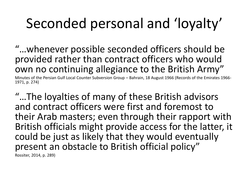# Seconded personal and 'loyalty'

"…whenever possible seconded officers should be provided rather than contract officers who would own no continuing allegiance to the British Army"

Minutes of the Persian Gulf Local Counter Subversion Group – Bahrain, 18 August 1966 (Records of the Emirates 1966- 1971, p. 274)

"…The loyalties of many of these British advisors and contract officers were first and foremost to their Arab masters; even through their rapport with British officials might provide access for the latter, it could be just as likely that they would eventually present an obstacle to British official policy" Rossiter, 2014, p. 289)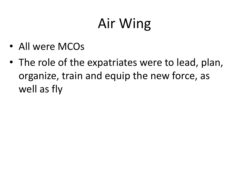# Air Wing

- All were MCOs
- The role of the expatriates were to lead, plan, organize, train and equip the new force, as well as fly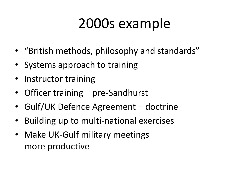### 2000s example

- "British methods, philosophy and standards"
- Systems approach to training
- Instructor training
- Officer training pre-Sandhurst
- Gulf/UK Defence Agreement doctrine
- Building up to multi-national exercises
- Make UK-Gulf military meetings more productive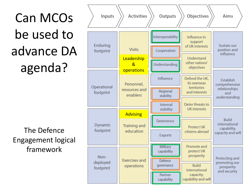# Can MCOs be used to advance DA agenda?

The Defence Engagement logical framework

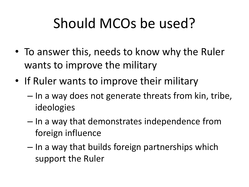# Should MCOs be used?

- To answer this, needs to know why the Ruler wants to improve the military
- If Ruler wants to improve their military
	- In a way does not generate threats from kin, tribe, ideologies
	- In a way that demonstrates independence from foreign influence
	- In a way that builds foreign partnerships which support the Ruler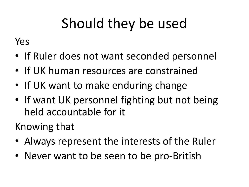# Should they be used

Yes

- If Ruler does not want seconded personnel
- If UK human resources are constrained
- If UK want to make enduring change
- If want UK personnel fighting but not being held accountable for it

Knowing that

- Always represent the interests of the Ruler
- Never want to be seen to be pro-British